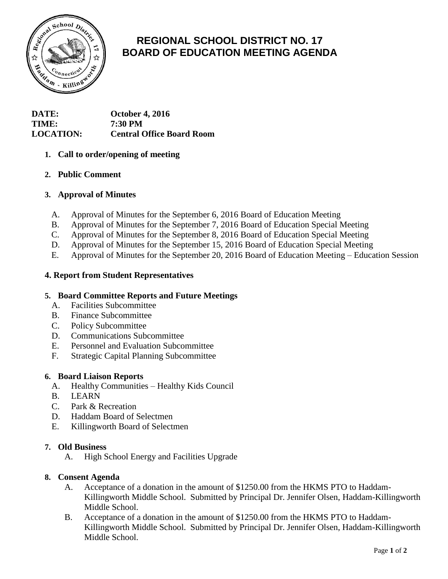

# **REGIONAL SCHOOL DISTRICT NO. 17 BOARD OF EDUCATION MEETING AGENDA**

## **DATE: October 4, 2016 TIME: 7:30 PM LOCATION: Central Office Board Room**

## **1. Call to order/opening of meeting**

## **2. Public Comment**

## **3. Approval of Minutes**

- A. Approval of Minutes for the September 6, 2016 Board of Education Meeting
- B. Approval of Minutes for the September 7, 2016 Board of Education Special Meeting
- C. Approval of Minutes for the September 8, 2016 Board of Education Special Meeting
- D. Approval of Minutes for the September 15, 2016 Board of Education Special Meeting
- E. Approval of Minutes for the September 20, 2016 Board of Education Meeting Education Session

## **4. Report from Student Representatives**

### **5. Board Committee Reports and Future Meetings**

- A. Facilities Subcommittee
- B. Finance Subcommittee
- C. Policy Subcommittee
- D. Communications Subcommittee
- E. Personnel and Evaluation Subcommittee
- F. Strategic Capital Planning Subcommittee

### **6. Board Liaison Reports**

- A. Healthy Communities Healthy Kids Council
- B. LEARN
- C. Park & Recreation
- D. Haddam Board of Selectmen
- E. Killingworth Board of Selectmen

### **7. Old Business**

A. High School Energy and Facilities Upgrade

### **8. Consent Agenda**

- A. Acceptance of a donation in the amount of \$1250.00 from the HKMS PTO to Haddam-Killingworth Middle School. Submitted by Principal Dr. Jennifer Olsen, Haddam-Killingworth Middle School.
- B. Acceptance of a donation in the amount of \$1250.00 from the HKMS PTO to Haddam-Killingworth Middle School. Submitted by Principal Dr. Jennifer Olsen, Haddam-Killingworth Middle School.